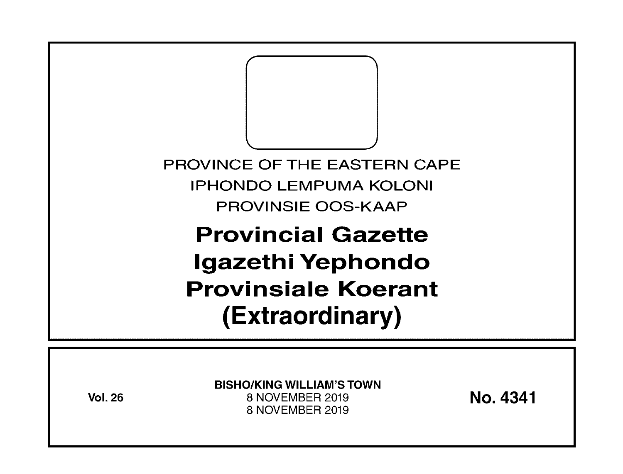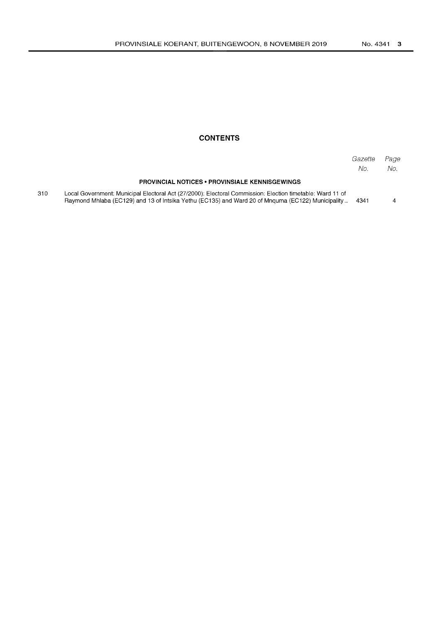# **CONTENTS**

|     |                                                                                                                                                                                                                | Gazette<br>No. | Page<br>No. |
|-----|----------------------------------------------------------------------------------------------------------------------------------------------------------------------------------------------------------------|----------------|-------------|
|     | <b>PROVINCIAL NOTICES • PROVINSIALE KENNISGEWINGS</b>                                                                                                                                                          |                |             |
| 310 | Local Government: Municipal Electoral Act (27/2000): Electoral Commission: Election timetable: Ward 11 of<br>Raymond Mhlaba (EC129) and 13 of Intsika Yethu (EC135) and Ward 20 of Mnguma (EC122) Municipality | 4341           |             |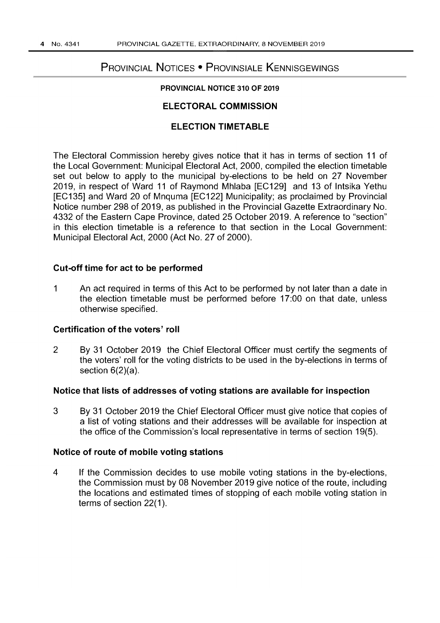# PROVINCIAL NOTICES • PROVINSIALE KENNISGEWINGS

## PROVINCIAL NOTICE 310 OF 2019

# ELECTORAL COMMISSION

# ELECTION TIMETABLE

The Electoral Commission hereby gives notice that it has in terms of section 11 of the Local Government: Municipal Electoral Act, 2000, compiled the election timetable set out below to apply to the municipal by-elections to be held on 27 November 2019, in respect of Ward 11 of Raymond Mhlaba [EC129] and 13 of Intsika Yethu [EC135] and Ward 20 of Mnquma [EC122] Municipality; as proclaimed by Provincial Notice number 298 of 2019, as published in the Provincial Gazette Extraordinary No. 4332 of the Eastern Cape Province, dated 25 October 2019. A reference to "section" in this election timetable is a reference to that section in the Local Government: Municipal Electoral Act, 2000 (Act No. 27 of 2000).

## Cut-off time for act to be performed

1 An act required in terms of this Act to be performed by not later than a date in the election timetable must be performed before 17:00 on that date, unless otherwise specified.

# Certification of the voters' roll

2 By 31 October 2019 the Chief Electoral Officer must certify the segments of the voters' roll for the voting districts to be used in the by-elections in terms of section 6(2)(a).

#### Notice that lists of addresses of voting stations are available for inspection

3 By 31 October 2019 the Chief Electoral Officer must give notice that copies of a list of voting stations and their addresses will be available for inspection at the office of the Commission's local representative in terms of section 19(5).

## Notice of route of mobile voting stations

4 If the Commission decides to use mobile voting stations in the by-elections, the Commission must by 08 November 2019 give notice of the route, including the locations and estimated times of stopping of each mobile voting station in terms of section 22(1).